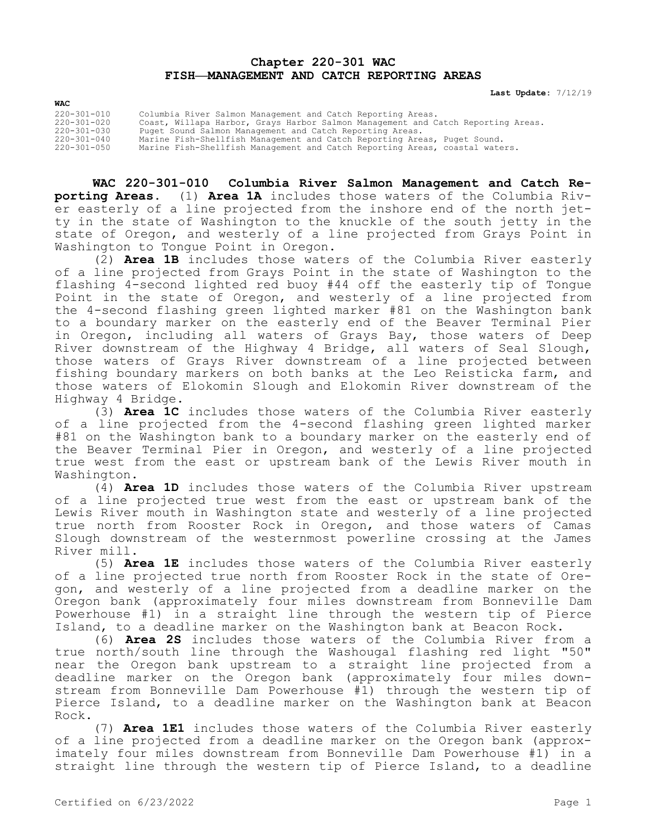## **Chapter 220-301 WAC FISH—MANAGEMENT AND CATCH REPORTING AREAS**

**Last Update:** 7/12/19

| WAC               |                                                                                  |
|-------------------|----------------------------------------------------------------------------------|
| $220 - 301 - 010$ | Columbia River Salmon Management and Catch Reporting Areas.                      |
| 220-301-020       | Coast, Willapa Harbor, Grays Harbor Salmon Management and Catch Reporting Areas. |
| 220-301-030       | Puget Sound Salmon Management and Catch Reporting Areas.                         |
| $220 - 301 - 040$ | Marine Fish-Shellfish Management and Catch Reporting Areas, Puget Sound.         |
| 220-301-050       | Marine Fish-Shellfish Management and Catch Reporting Areas, coastal waters.      |

**WAC 220-301-010 Columbia River Salmon Management and Catch Reporting Areas.** (1) **Area 1A** includes those waters of the Columbia River easterly of a line projected from the inshore end of the north jetty in the state of Washington to the knuckle of the south jetty in the state of Oregon, and westerly of a line projected from Grays Point in Washington to Tongue Point in Oregon.

(2) **Area 1B** includes those waters of the Columbia River easterly of a line projected from Grays Point in the state of Washington to the flashing 4-second lighted red buoy #44 off the easterly tip of Tongue Point in the state of Oregon, and westerly of a line projected from the 4-second flashing green lighted marker #81 on the Washington bank to a boundary marker on the easterly end of the Beaver Terminal Pier in Oregon, including all waters of Grays Bay, those waters of Deep River downstream of the Highway 4 Bridge, all waters of Seal Slough, those waters of Grays River downstream of a line projected between fishing boundary markers on both banks at the Leo Reisticka farm, and those waters of Elokomin Slough and Elokomin River downstream of the Highway 4 Bridge.

(3) **Area 1C** includes those waters of the Columbia River easterly of a line projected from the 4-second flashing green lighted marker #81 on the Washington bank to a boundary marker on the easterly end of the Beaver Terminal Pier in Oregon, and westerly of a line projected true west from the east or upstream bank of the Lewis River mouth in Washington.

(4) **Area 1D** includes those waters of the Columbia River upstream of a line projected true west from the east or upstream bank of the Lewis River mouth in Washington state and westerly of a line projected true north from Rooster Rock in Oregon, and those waters of Camas Slough downstream of the westernmost powerline crossing at the James River mill.

(5) **Area 1E** includes those waters of the Columbia River easterly of a line projected true north from Rooster Rock in the state of Oregon, and westerly of a line projected from a deadline marker on the Oregon bank (approximately four miles downstream from Bonneville Dam Powerhouse #1) in a straight line through the western tip of Pierce Island, to a deadline marker on the Washington bank at Beacon Rock.

(6) **Area 2S** includes those waters of the Columbia River from a true north/south line through the Washougal flashing red light "50" near the Oregon bank upstream to a straight line projected from a deadline marker on the Oregon bank (approximately four miles downstream from Bonneville Dam Powerhouse #1) through the western tip of Pierce Island, to a deadline marker on the Washington bank at Beacon Rock.

(7) **Area 1E1** includes those waters of the Columbia River easterly of a line projected from a deadline marker on the Oregon bank (approximately four miles downstream from Bonneville Dam Powerhouse #1) in a straight line through the western tip of Pierce Island, to a deadline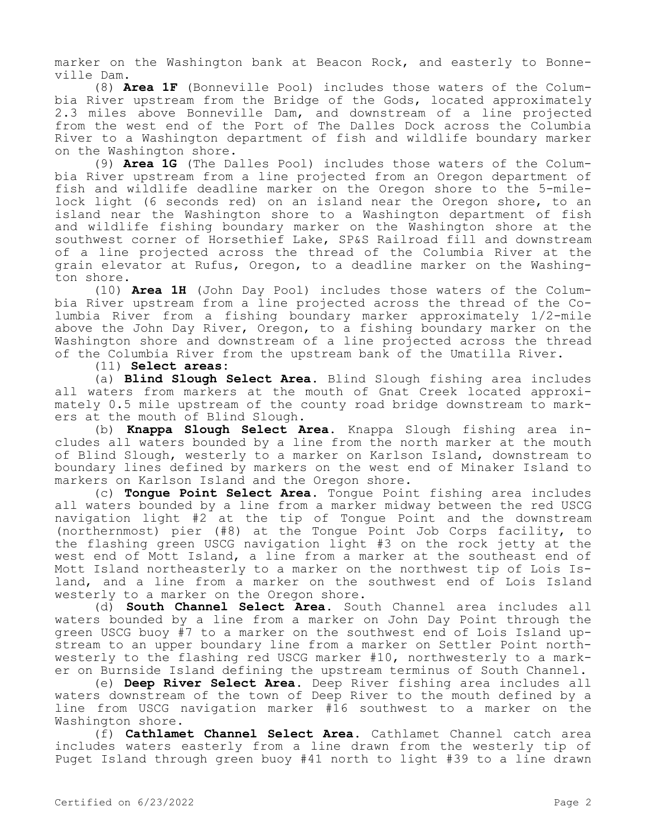marker on the Washington bank at Beacon Rock, and easterly to Bonneville Dam.

(8) **Area 1F** (Bonneville Pool) includes those waters of the Columbia River upstream from the Bridge of the Gods, located approximately 2.3 miles above Bonneville Dam, and downstream of a line projected from the west end of the Port of The Dalles Dock across the Columbia River to a Washington department of fish and wildlife boundary marker on the Washington shore.

(9) **Area 1G** (The Dalles Pool) includes those waters of the Columbia River upstream from a line projected from an Oregon department of fish and wildlife deadline marker on the Oregon shore to the 5-milelock light (6 seconds red) on an island near the Oregon shore, to an island near the Washington shore to a Washington department of fish and wildlife fishing boundary marker on the Washington shore at the southwest corner of Horsethief Lake, SP&S Railroad fill and downstream of a line projected across the thread of the Columbia River at the grain elevator at Rufus, Oregon, to a deadline marker on the Washington shore.

(10) **Area 1H** (John Day Pool) includes those waters of the Columbia River upstream from a line projected across the thread of the Columbia River from a fishing boundary marker approximately 1/2-mile above the John Day River, Oregon, to a fishing boundary marker on the Washington shore and downstream of a line projected across the thread of the Columbia River from the upstream bank of the Umatilla River.

(11) **Select areas:**

(a) **Blind Slough Select Area.** Blind Slough fishing area includes all waters from markers at the mouth of Gnat Creek located approximately 0.5 mile upstream of the county road bridge downstream to markers at the mouth of Blind Slough.

(b) **Knappa Slough Select Area.** Knappa Slough fishing area includes all waters bounded by a line from the north marker at the mouth of Blind Slough, westerly to a marker on Karlson Island, downstream to boundary lines defined by markers on the west end of Minaker Island to markers on Karlson Island and the Oregon shore.

(c) **Tongue Point Select Area.** Tongue Point fishing area includes all waters bounded by a line from a marker midway between the red USCG navigation light #2 at the tip of Tongue Point and the downstream (northernmost) pier (#8) at the Tongue Point Job Corps facility, to the flashing green USCG navigation light #3 on the rock jetty at the west end of Mott Island, a line from a marker at the southeast end of Mott Island northeasterly to a marker on the northwest tip of Lois Island, and a line from a marker on the southwest end of Lois Island westerly to a marker on the Oregon shore.

(d) **South Channel Select Area.** South Channel area includes all waters bounded by a line from a marker on John Day Point through the green USCG buoy #7 to a marker on the southwest end of Lois Island upstream to an upper boundary line from a marker on Settler Point northwesterly to the flashing red USCG marker #10, northwesterly to a marker on Burnside Island defining the upstream terminus of South Channel.

(e) **Deep River Select Area.** Deep River fishing area includes all waters downstream of the town of Deep River to the mouth defined by a line from USCG navigation marker #16 southwest to a marker on the Washington shore.

(f) **Cathlamet Channel Select Area.** Cathlamet Channel catch area includes waters easterly from a line drawn from the westerly tip of Puget Island through green buoy #41 north to light #39 to a line drawn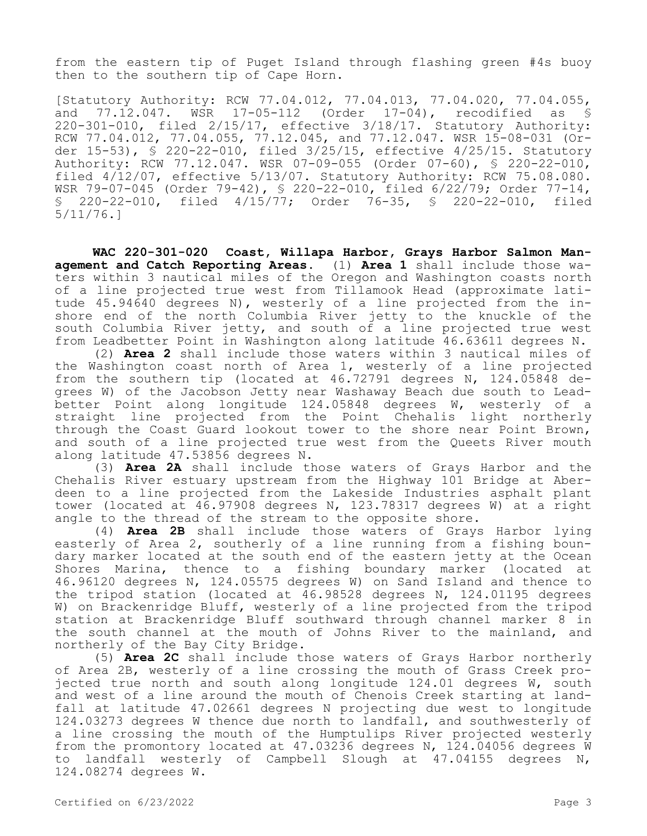from the eastern tip of Puget Island through flashing green #4s buoy then to the southern tip of Cape Horn.

[Statutory Authority: RCW 77.04.012, 77.04.013, 77.04.020, 77.04.055,<br>and 77.12.047. WSR 17-05-112 (Order 17-04), recodified as \$ and 77.12.047. WSR 17-05-112 (Order 17-04), recodified as § 220-301-010, filed 2/15/17, effective 3/18/17. Statutory Authority: RCW 77.04.012, 77.04.055, 77.12.045, and 77.12.047. WSR 15-08-031 (Order 15-53), § 220-22-010, filed 3/25/15, effective 4/25/15. Statutory Authority: RCW 77.12.047. WSR 07-09-055 (Order 07-60), § 220-22-010, filed 4/12/07, effective 5/13/07. Statutory Authority: RCW 75.08.080. WSR 79-07-045 (Order 79-42), § 220-22-010, filed 6/22/79; Order 77-14, § 220-22-010, filed 4/15/77; Order 76-35, § 220-22-010, filed 5/11/76.]

**WAC 220-301-020 Coast, Willapa Harbor, Grays Harbor Salmon Management and Catch Reporting Areas.** (1) **Area 1** shall include those waters within 3 nautical miles of the Oregon and Washington coasts north of a line projected true west from Tillamook Head (approximate latitude 45.94640 degrees N), westerly of a line projected from the inshore end of the north Columbia River jetty to the knuckle of the south Columbia River jetty, and south of a line projected true west from Leadbetter Point in Washington along latitude 46.63611 degrees N.

(2) **Area 2** shall include those waters within 3 nautical miles of the Washington coast north of Area 1, westerly of a line projected from the southern tip (located at  $46.72791$  degrees N,  $124.05848$  degrees W) of the Jacobson Jetty near Washaway Beach due south to Leadbetter Point along longitude 124.05848 degrees W, westerly of a straight line projected from the Point Chehalis light northerly through the Coast Guard lookout tower to the shore near Point Brown, and south of a line projected true west from the Queets River mouth along latitude 47.53856 degrees N.

(3) **Area 2A** shall include those waters of Grays Harbor and the Chehalis River estuary upstream from the Highway 101 Bridge at Aberdeen to a line projected from the Lakeside Industries asphalt plant tower (located at 46.97908 degrees N, 123.78317 degrees W) at a right angle to the thread of the stream to the opposite shore.

(4) **Area 2B** shall include those waters of Grays Harbor lying easterly of Area 2, southerly of a line running from a fishing boundary marker located at the south end of the eastern jetty at the Ocean Shores Marina, thence to a fishing boundary marker (located at 46.96120 degrees N, 124.05575 degrees W) on Sand Island and thence to the tripod station (located at 46.98528 degrees N, 124.01195 degrees W) on Brackenridge Bluff, westerly of a line projected from the tripod station at Brackenridge Bluff southward through channel marker 8 in the south channel at the mouth of Johns River to the mainland, and northerly of the Bay City Bridge.

(5) **Area 2C** shall include those waters of Grays Harbor northerly of Area 2B, westerly of a line crossing the mouth of Grass Creek projected true north and south along longitude 124.01 degrees W, south and west of a line around the mouth of Chenois Creek starting at landfall at latitude 47.02661 degrees N projecting due west to longitude 124.03273 degrees W thence due north to landfall, and southwesterly of a line crossing the mouth of the Humptulips River projected westerly from the promontory located at 47.03236 degrees N, 124.04056 degrees W to landfall westerly of Campbell Slough at 47.04155 degrees N, 124.08274 degrees W.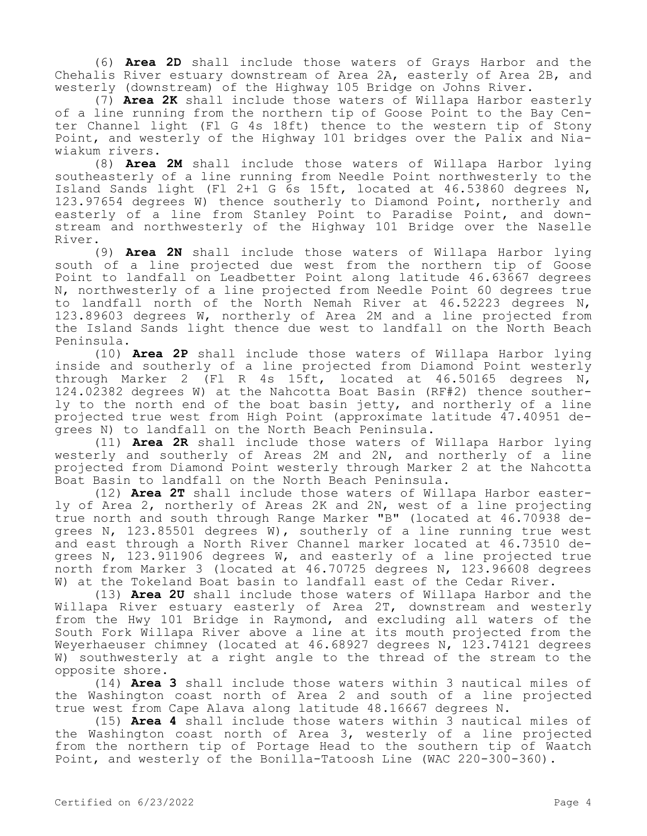(6) **Area 2D** shall include those waters of Grays Harbor and the Chehalis River estuary downstream of Area 2A, easterly of Area 2B, and westerly (downstream) of the Highway 105 Bridge on Johns River.

(7) **Area 2K** shall include those waters of Willapa Harbor easterly of a line running from the northern tip of Goose Point to the Bay Center Channel light (Fl G 4s 18ft) thence to the western tip of Stony Point, and westerly of the Highway 101 bridges over the Palix and Niawiakum rivers.

(8) **Area 2M** shall include those waters of Willapa Harbor lying southeasterly of a line running from Needle Point northwesterly to the Island Sands light (Fl 2+1 G 6s 15ft, located at 46.53860 degrees N, 123.97654 degrees W) thence southerly to Diamond Point, northerly and easterly of a line from Stanley Point to Paradise Point, and downstream and northwesterly of the Highway 101 Bridge over the Naselle River.

(9) **Area 2N** shall include those waters of Willapa Harbor lying south of a line projected due west from the northern tip of Goose Point to landfall on Leadbetter Point along latitude 46.63667 degrees N, northwesterly of a line projected from Needle Point 60 degrees true to landfall north of the North Nemah River at 46.52223 degrees N, 123.89603 degrees W, northerly of Area 2M and a line projected from the Island Sands light thence due west to landfall on the North Beach Peninsula.

(10) **Area 2P** shall include those waters of Willapa Harbor lying inside and southerly of a line projected from Diamond Point westerly through Marker 2 (Fl R 4s 15ft, located at 46.50165 degrees N, 124.02382 degrees W) at the Nahcotta Boat Basin (RF#2) thence southerly to the north end of the boat basin jetty, and northerly of a line projected true west from High Point (approximate latitude 47.40951 degrees N) to landfall on the North Beach Peninsula.

(11) **Area 2R** shall include those waters of Willapa Harbor lying westerly and southerly of Areas 2M and 2N, and northerly of a line projected from Diamond Point westerly through Marker 2 at the Nahcotta Boat Basin to landfall on the North Beach Peninsula.

(12) **Area 2T** shall include those waters of Willapa Harbor easterly of Area 2, northerly of Areas 2K and 2N, west of a line projecting true north and south through Range Marker "B" (located at 46.70938 degrees N, 123.85501 degrees W), southerly of a line running true west and east through a North River Channel marker located at 46.73510 degrees N, 123.911906 degrees W, and easterly of a line projected true north from Marker 3 (located at 46.70725 degrees N, 123.96608 degrees W) at the Tokeland Boat basin to landfall east of the Cedar River.

(13) **Area 2U** shall include those waters of Willapa Harbor and the Willapa River estuary easterly of Area 2T, downstream and westerly from the Hwy 101 Bridge in Raymond, and excluding all waters of the South Fork Willapa River above a line at its mouth projected from the Weyerhaeuser chimney (located at 46.68927 degrees N, 123.74121 degrees W) southwesterly at a right angle to the thread of the stream to the opposite shore.

(14) **Area 3** shall include those waters within 3 nautical miles of the Washington coast north of Area 2 and south of a line projected true west from Cape Alava along latitude 48.16667 degrees N.

(15) **Area 4** shall include those waters within 3 nautical miles of the Washington coast north of Area 3, westerly of a line projected from the northern tip of Portage Head to the southern tip of Waatch Point, and westerly of the Bonilla-Tatoosh Line (WAC 220-300-360).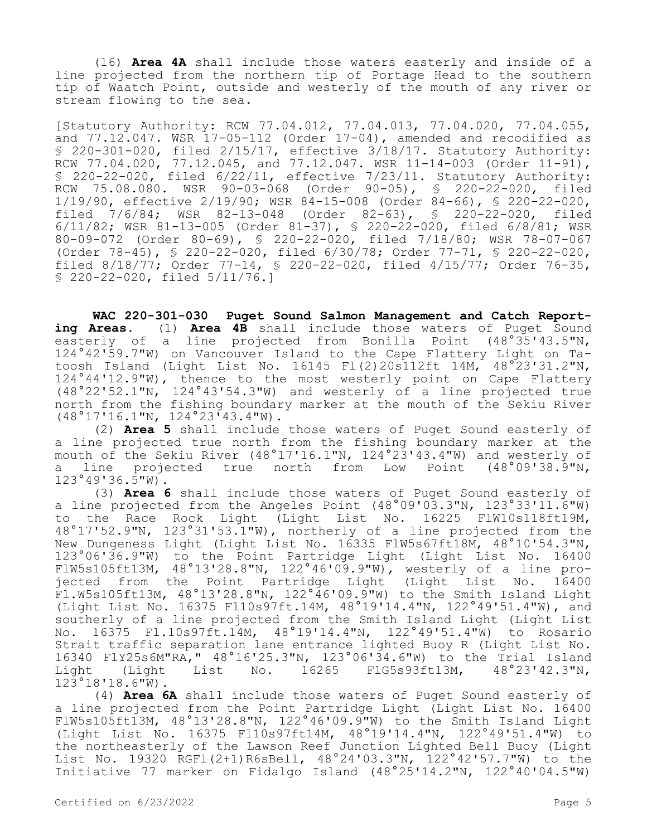(16) **Area 4A** shall include those waters easterly and inside of a line projected from the northern tip of Portage Head to the southern tip of Waatch Point, outside and westerly of the mouth of any river or stream flowing to the sea.

[Statutory Authority: RCW 77.04.012, 77.04.013, 77.04.020, 77.04.055, and  $77.12.047$ . WSR  $17-05-112$  (Order  $17-04$ ), amended and recodified as § 220-301-020, filed 2/15/17, effective 3/18/17. Statutory Authority: RCW 77.04.020, 77.12.045, and 77.12.047. WSR 11-14-003 (Order 11-91), § 220-22-020, filed 6/22/11, effective 7/23/11. Statutory Authority: RCW 75.08.080. WSR 90-03-068 (Order 90-05), § 220-22-020, filed 1/19/90, effective 2/19/90; WSR 84-15-008 (Order 84-66), § 220-22-020, filed 7/6/84; WSR 82-13-048 (Order 82-63), § 220-22-020, filed 6/11/82; WSR 81-13-005 (Order 81-37), § 220-22-020, filed 6/8/81; WSR 80-09-072 (Order 80-69), § 220-22-020, filed 7/18/80; WSR 78-07-067 (Order 78-45), § 220-22-020, filed 6/30/78; Order 77-71, § 220-22-020, filed 8/18/77; Order 77-14, § 220-22-020, filed 4/15/77; Order 76-35, § 220-22-020, filed 5/11/76.]

**WAC 220-301-030 Puget Sound Salmon Management and Catch Reporting Areas.** (1) **Area 4B** shall include those waters of Puget Sound easterly of a line projected from Bonilla Point (48°35'43.5"N, 124°42'59.7"W) on Vancouver Island to the Cape Flattery Light on Tatoosh Island (Light List No. 16145 Fl(2)20s112ft 14M, 48°23'31.2"N, 124°44'12.9"W), thence to the most westerly point on Cape Flattery (48°22'52.1"N, 124°43'54.3"W) and westerly of a line projected true north from the fishing boundary marker at the mouth of the Sekiu River (48°17'16.1"N, 124°23'43.4"W).

(2) **Area 5** shall include those waters of Puget Sound easterly of a line projected true north from the fishing boundary marker at the mouth of the Sekiu River (48°17'16.1"N, 124°23'43.4"W) and westerly of<br>a line projected true north from Low Point (48°09'38.9"N, line projected true north from Low Point 123°49'36.5"W).

(3) **Area 6** shall include those waters of Puget Sound easterly of a line projected from the Angeles Point  $(48°09'03.3"N, 123°33'11.6"W)$ to the Race Rock Light (Light List No. 16225 FlW10s118ft19M, 48°17'52.9"N, 123°31'53.1"W), northerly of a line projected from the New Dungeness Light (Light List No. 16335 FlW5s67ft18M, 48°10'54.3"N, 123°06'36.9"W) to the Point Partridge Light (Light List No. 16400 FlW5s105ft13M, 48°13'28.8"N, 122°46'09.9"W), westerly of a line projected from the Point Partridge Light (Light List No. 16400  $F1.$ W5s105ft13M, 48°13'28.8"N, 122°46'09.9"W) to the Smith Island Light (Light List No. 16375 Fl10s97ft.14M, 48°19'14.4"N, 122°49'51.4"W), and southerly of a line projected from the Smith Island Light (Light List No. 16375 Fl.10s97ft.14M, 48°19'14.4"N, 122°49'51.4"W) to Rosario Strait traffic separation lane entrance lighted Buoy R (Light List No. 16340 FlY25s6M"RA," 48°16'25.3"N, 123°06'34.6"W) to the Trial Island<br>Light (Light List No. 16265 FlG5s93ft13M, 48°23'42.3"N, Light (Light List No. 16265 FlG5s93ft13M, 48°23'42.3"N, 123°18'18.6"W).

(4) **Area 6A** shall include those waters of Puget Sound easterly of a line projected from the Point Partridge Light (Light List No. 16400 FlW5s105ft13M, 48°13'28.8"N, 122°46'09.9"W) to the Smith Island Light (Light List No. 16375 Fl10s97ft14M, 48°19'14.4"N, 122°49'51.4"W) to the northeasterly of the Lawson Reef Junction Lighted Bell Buoy (Light List No. 19320 RGF1(2+1)R6sBell, 48°24'03.3"N, 122°42'57.7"W) to the Initiative 77 marker on Fidalgo Island (48°25'14.2"N, 122°40'04.5"W)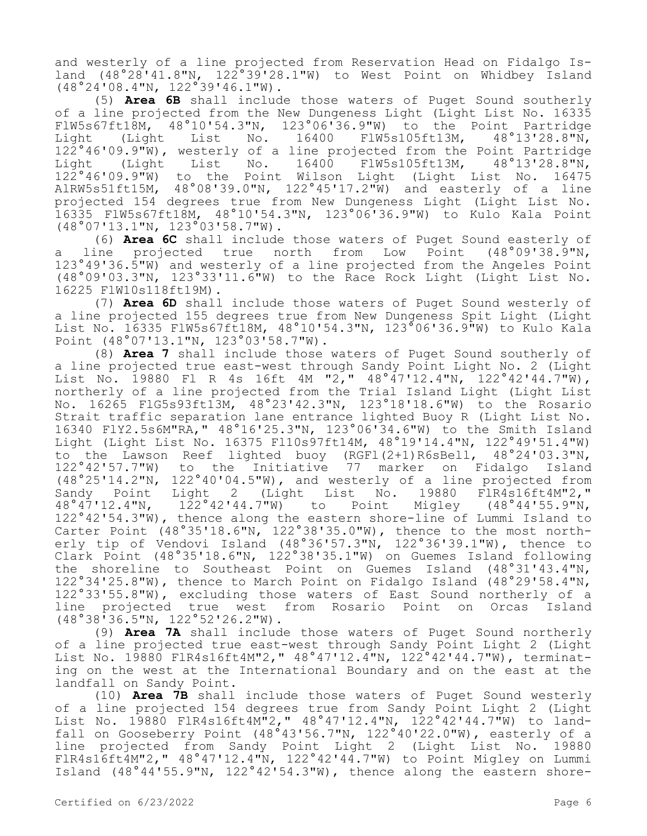and westerly of a line projected from Reservation Head on Fidalgo Island  $(48°28'41.8"N, 122°39'28.1"W)$  to West Point on Whidbey Island (48°24'08.4"N, 122°39'46.1"W).

(5) **Area 6B** shall include those waters of Puget Sound southerly of a line projected from the New Dungeness Light (Light List No. 16335 FlW5s67ft18M, 48°10'54.3"N, 123°06'36.9"W) to the Point Partridge Light (Light List No. 16400 FlW5s105ft13M, 122°46'09.9"W), westerly of a line projected from the Point Partridge<br>Light (Light List No. 16400 FlW5s105ft13M, 48°13'28.8"N, Light (Light List No. 16400 FlW5s105ft13M, 122°46'09.9"W) to the Point Wilson Light (Light List No. 16475 AlRW5s51ft15M, 48°08'39.0"N, 122°45'17.2"W) and easterly of a line projected 154 degrees true from New Dungeness Light (Light List No. 16335 FlW5s67ft18M, 48°10'54.3"N, 123°06'36.9"W) to Kulo Kala Point (48°07'13.1"N, 123°03'58.7"W).

(6) **Area 6C** shall include those waters of Puget Sound easterly of a line projected true north from Low Point 123°49'36.5"W) and westerly of a line projected from the Angeles Point (48°09'03.3"N, 123°33'11.6"W) to the Race Rock Light (Light List No. 16225 FlW10s118ft19M).

(7) **Area 6D** shall include those waters of Puget Sound westerly of a line projected 155 degrees true from New Dungeness Spit Light (Light List No. 16335 FlW5s67ft18M, 48°10'54.3"N, 123°06'36.9"W) to Kulo Kala Point (48°07'13.1"N, 123°03'58.7"W).

(8) **Area 7** shall include those waters of Puget Sound southerly of a line projected true east-west through Sandy Point Light No. 2 (Light List No. 19880 Fl R 4s 16ft 4M "2," 48°47'12.4"N, 122°42'44.7"W), northerly of a line projected from the Trial Island Light (Light List No. 16265 FlG5s93ft13M, 48°23'42.3"N, 123°18'18.6"W) to the Rosario Strait traffic separation lane entrance lighted Buoy R (Light List No. 16340 FlY2.5s6M"RA," 48°16'25.3"N, 123°06'34.6"W) to the Smith Island Light (Light List No. 16375 Fl10s97ft14M, 48°19'14.4"N, 122°49'51.4"W) to the Lawson Reef lighted buoy (RGFl(2+1)R6sBell, 48°24'03.3"N, 122°42'57.7"W) to the Initiative 77 marker on Fidalgo Island (48°25'14.2"N, 122°40'04.5"W), and westerly of a line projected from Sandy Point Light 2 (Light List No. 19880 FlR4s16ft4M"2,"<br>48°47'12.4"N, 122°42'44.7"W) to Point Migley (48°44'55.9"N, 48°47'12.4"N, 122°42'44.7"W) to Point Migley (48°44'55.9"N, 122°42'54.3"W), thence along the eastern shore-line of Lummi Island to Carter Point  $(48°35'18.6"N, 122°38'35.0"W)$ , thence to the most northerly tip of Vendovi Island (48°36'57.3"N, 122°36'39.1"W), thence to Clark Point (48°35'18.6"N, 122°38'35.1"W) on Guemes Island following the shoreline to Southeast Point on Guemes Island (48°31'43.4"N, 122°34'25.8"W), thence to March Point on Fidalgo Island (48°29'58.4"N, 122°33'55.8"W), excluding those waters of East Sound northerly of a line projected true west from Rosario Point on Orcas Island (48°38'36.5"N, 122°52'26.2"W).

(9) **Area 7A** shall include those waters of Puget Sound northerly of a line projected true east-west through Sandy Point Light 2 (Light List No. 19880 F1R4s16ft4M"2," 48°47'12.4"N, 122°42'44.7"W), terminating on the west at the International Boundary and on the east at the landfall on Sandy Point.

(10) **Area 7B** shall include those waters of Puget Sound westerly of a line projected 154 degrees true from Sandy Point Light 2 (Light List No. 19880 F1R4s16ft4M"2," 48°47'12.4"N, 122°42'44.7"W) to landfall on Gooseberry Point  $(48^{\circ}43'56.7"N, 122^{\circ}40'22.0"W)$ , easterly of a line projected from Sandy Point Light 2 (Light List No. 19880 FlR4s16ft4M"2," 48°47'12.4"N, 122°42'44.7"W) to Point Migley on Lummi Island (48°44'55.9"N, 122°42'54.3"W), thence along the eastern shore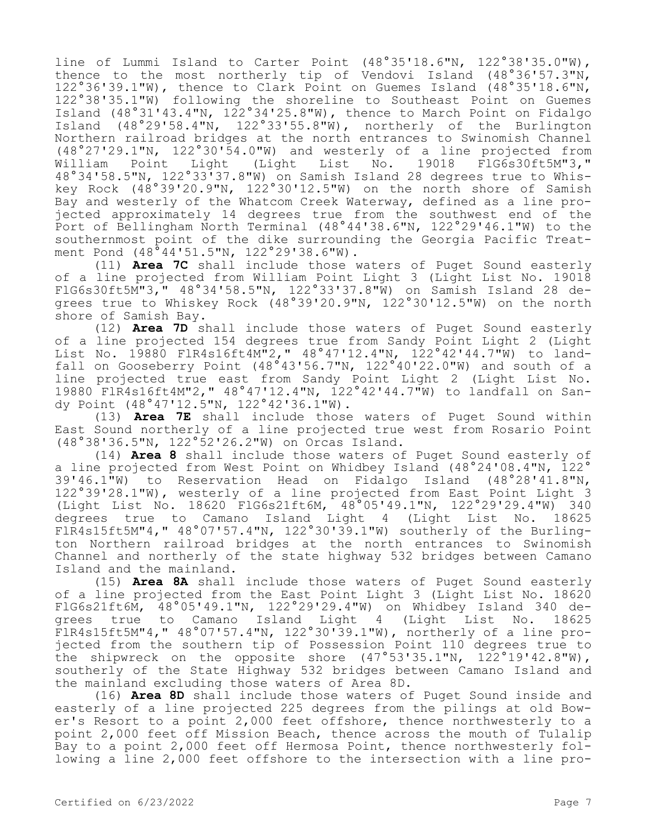line of Lummi Island to Carter Point (48°35'18.6"N, 122°38'35.0"W), thence to the most northerly tip of Vendovi Island (48°36'57.3"N, 122°36'39.1"W), thence to Clark Point on Guemes Island (48°35'18.6"N, 122°38'35.1"W) following the shoreline to Southeast Point on Guemes Island (48°31'43.4"N, 122°34'25.8"W), thence to March Point on Fidalgo Island (48°29'58.4"N, 122°33'55.8"W), northerly of the Burlington Northern railroad bridges at the north entrances to Swinomish Channel (48°27'29.1"N, 122°30'54.0"W) and westerly of a line projected from List No. 19018 48°34'58.5"N, 122°33'37.8"W) on Samish Island 28 degrees true to Whiskey Rock (48°39'20.9"N, 122°30'12.5"W) on the north shore of Samish Bay and westerly of the Whatcom Creek Waterway, defined as a line projected approximately 14 degrees true from the southwest end of the Port of Bellingham North Terminal (48°44'38.6"N, 122°29'46.1"W) to the southernmost point of the dike surrounding the Georgia Pacific Treatment Pond (48°44'51.5"N, 122°29'38.6"W).

(11) **Area 7C** shall include those waters of Puget Sound easterly of a line projected from William Point Light 3 (Light List No. 19018 FlG6s30ft5M"3," 48°34'58.5"N, 122°33'37.8"W) on Samish Island 28 degrees true to Whiskey Rock (48°39'20.9"N, 122°30'12.5"W) on the north shore of Samish Bay.

(12) **Area 7D** shall include those waters of Puget Sound easterly of a line projected 154 degrees true from Sandy Point Light 2 (Light List No. 19880 FlR4s16ft4M"2," 48°47'12.4"N, 122°42'44.7"W) to landfall on Gooseberry Point  $(48°43'56.7"N, 122°40'22.0"W)$  and south of a line projected true east from Sandy Point Light 2 (Light List No. 19880 FlR4s16ft4M"2," 48°47'12.4"N, 122°42'44.7"W) to landfall on Sandy Point (48°47'12.5"N, 122°42'36.1"W).

(13) **Area 7E** shall include those waters of Puget Sound within East Sound northerly of a line projected true west from Rosario Point (48°38'36.5"N, 122°52'26.2"W) on Orcas Island.

(14) **Area 8** shall include those waters of Puget Sound easterly of a line projected from West Point on Whidbey Island (48°24'08.4"N, 122° 39'46.1"W) to Reservation Head on Fidalgo Island (48°28'41.8"N, 122°39'28.1"W), westerly of a line projected from East Point Light 3 (Light List No. 18620 FlG6s21ft6M, 48°05'49.1"N, 122°29'29.4"W) 340 degrees true to Camano Island Light 4 (Light List No. 18625 FlR4s15ft5M"4," 48°07'57.4"N, 122°30'39.1"W) southerly of the Burlington Northern railroad bridges at the north entrances to Swinomish Channel and northerly of the state highway 532 bridges between Camano Island and the mainland.

(15) **Area 8A** shall include those waters of Puget Sound easterly of a line projected from the East Point Light 3 (Light List No. 18620 FlG6s21ft6M, 48°05'49.1"N, 122°29'29.4"W) on Whidbey Island 340 degrees true to Camano Island Light 4 (Light List No. 18625 FlR4s15ft5M"4," 48°07'57.4"N, 122°30'39.1"W), northerly of a line projected from the southern tip of Possession Point 110 degrees true to the shipwreck on the opposite shore  $(47°53'35.1"N, 122°19'42.8"N),$ southerly of the State Highway 532 bridges between Camano Island and the mainland excluding those waters of Area 8D.

(16) **Area 8D** shall include those waters of Puget Sound inside and easterly of a line projected 225 degrees from the pilings at old Bower's Resort to a point 2,000 feet offshore, thence northwesterly to a point 2,000 feet off Mission Beach, thence across the mouth of Tulalip Bay to a point 2,000 feet off Hermosa Point, thence northwesterly following a line 2,000 feet offshore to the intersection with a line pro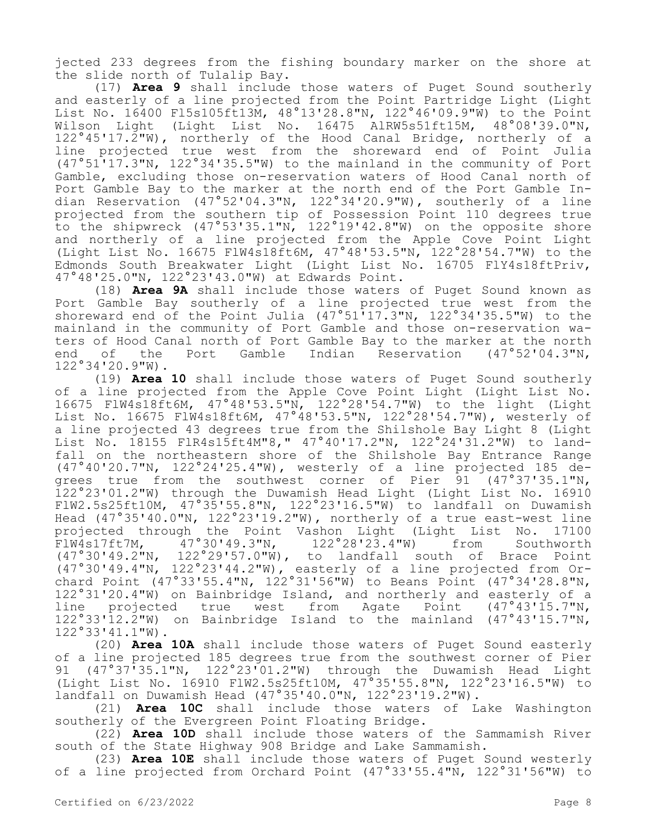jected 233 degrees from the fishing boundary marker on the shore at the slide north of Tulalip Bay.

(17) **Area 9** shall include those waters of Puget Sound southerly and easterly of a line projected from the Point Partridge Light (Light List No. 16400 Fl5s105ft13M, 48°13'28.8"N, 122°46'09.9"W) to the Point Wilson Light (Light List No. 16475 AlRW5s51ft15M, 48°08'39.0"N, 122°45'17.2"W), northerly of the Hood Canal Bridge, northerly of a line projected true west from the shoreward end of Point Julia (47°51'17.3"N, 122°34'35.5"W) to the mainland in the community of Port Gamble, excluding those on-reservation waters of Hood Canal north of Port Gamble Bay to the marker at the north end of the Port Gamble Indian Reservation (47°52'04.3"N, 122°34'20.9"W), southerly of a line projected from the southern tip of Possession Point 110 degrees true to the shipwreck (47°53'35.1"N, 122°19'42.8"W) on the opposite shore and northerly of a line projected from the Apple Cove Point Light (Light List No. 16675 FlW4s18ft6M, 47°48'53.5"N, 122°28'54.7"W) to the Edmonds South Breakwater Light (Light List No. 16705 FlY4s18ftPriv, 47°48'25.0"N, 122°23'43.0"W) at Edwards Point.

(18) **Area 9A** shall include those waters of Puget Sound known as Port Gamble Bay southerly of a line projected true west from the shoreward end of the Point Julia (47°51'17.3"N, 122°34'35.5"W) to the mainland in the community of Port Gamble and those on-reservation waters of Hood Canal north of Port Gamble Bay to the marker at the north<br>end of the Port Gamble Indian Reservation (47°52'04.3"N, end of the Port Gamble Indian Reservation 122°34'20.9"W).

(19) **Area 10** shall include those waters of Puget Sound southerly of a line projected from the Apple Cove Point Light (Light List No. 16675 FlW4s18ft6M, 47°48'53.5"N, 122°28'54.7"W) to the light (Light List No. 16675 FlW4s18ft6M, 47°48'53.5"N, 122°28'54.7"W), westerly of a line projected 43 degrees true from the Shilshole Bay Light 8 (Light List No. 18155 FlR4s15ft4M"8," 47°40'17.2"N, 122°24'31.2"W) to landfall on the northeastern shore of the Shilshole Bay Entrance Range (47°40'20.7"N, 122°24'25.4"W), westerly of a line projected 185 degrees true from the southwest corner of Pier 91 (47°37'35.1"N, 122°23'01.2"W) through the Duwamish Head Light (Light List No. 16910 FlW2.5s25ft10M, 47°35'55.8"N, 122°23'16.5"W) to landfall on Duwamish Head (47°35'40.0"N, 122°23'19.2"W), northerly of a true east-west line projected through the Point Vashon Light (Light List No. 17100<br>FlW4s17ft7M, 47°30'49.3"N, 122°28'23.4"W) from Southworth FlW4s17ft7M, 47°30'49.3"N, 122°28'23.4"W) from Southworth (47°30'49.2"N, 122°29'57.0"W), to landfall south of Brace Point (47°30'49.4"N, 122°23'44.2"W), easterly of a line projected from Orchard Point (47°33'55.4"N, 122°31'56"W) to Beans Point (47°34'28.8"N, 122°31'20.4"W) on Bainbridge Island, and northerly and easterly of a<br>line projected true west from Agate Point (47°43'15.7"N, line projected true west from Agate 122°33'12.2"W) on Bainbridge Island to the mainland (47°43'15.7"N, 122°33'41.1"W).

(20) **Area 10A** shall include those waters of Puget Sound easterly of a line projected 185 degrees true from the southwest corner of Pier 91 (47°37'35.1"N, 122°23'01.2"W) through the Duwamish Head Light (Light List No. 16910 FlW2.5s25ft10M, 47°35'55.8"N, 122°23'16.5"W) to landfall on Duwamish Head (47°35'40.0"N, 122°23'19.2"W).

(21) **Area 10C** shall include those waters of Lake Washington southerly of the Evergreen Point Floating Bridge.

(22) **Area 10D** shall include those waters of the Sammamish River south of the State Highway 908 Bridge and Lake Sammamish.

(23) **Area 10E** shall include those waters of Puget Sound westerly of a line projected from Orchard Point (47°33'55.4"N, 122°31'56"W) to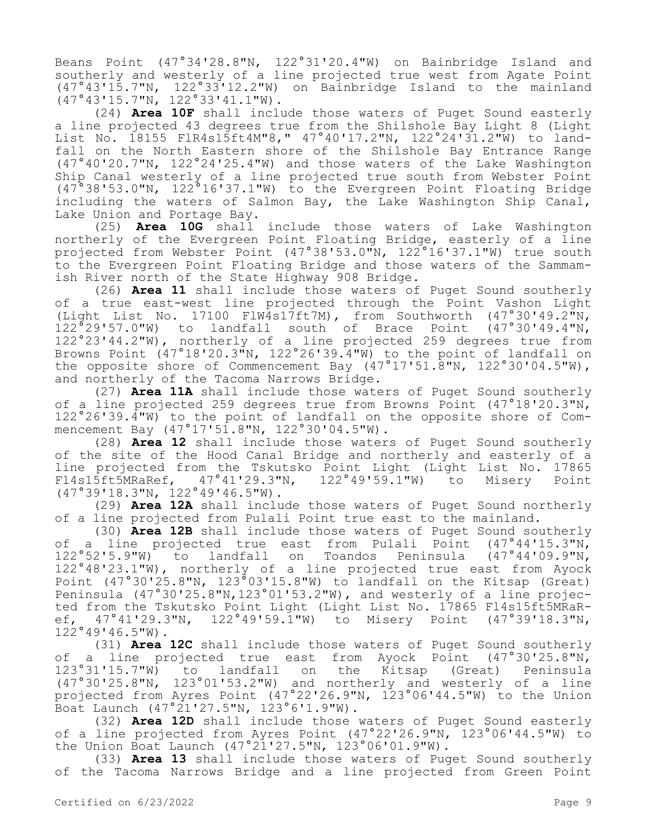Beans Point (47°34'28.8"N, 122°31'20.4"W) on Bainbridge Island and southerly and westerly of a line projected true west from Agate Point (47°43'15.7"N, 122°33'12.2"W) on Bainbridge Island to the mainland (47°43'15.7"N, 122°33'41.1"W).

(24) **Area 10F** shall include those waters of Puget Sound easterly a line projected 43 degrees true from the Shilshole Bay Light 8 (Light List No. 18155 FlR4s15ft4M"8," 47°40'17.2"N, 122°24'31.2"W) to landfall on the North Eastern shore of the Shilshole Bay Entrance Range (47°40'20.7"N, 122°24'25.4"W) and those waters of the Lake Washington Ship Canal westerly of a line projected true south from Webster Point (47°38'53.0"N, 122°16'37.1"W) to the Evergreen Point Floating Bridge including the waters of Salmon Bay, the Lake Washington Ship Canal, Lake Union and Portage Bay.

(25) **Area 10G** shall include those waters of Lake Washington northerly of the Evergreen Point Floating Bridge, easterly of a line projected from Webster Point (47°38'53.0"N, 122°16'37.1"W) true south to the Evergreen Point Floating Bridge and those waters of the Sammamish River north of the State Highway 908 Bridge.

(26) **Area 11** shall include those waters of Puget Sound southerly of a true east-west line projected through the Point Vashon Light (Light List No. 17100 FlW4s17ft7M), from Southworth (47°30'49.2"N, 122°29'57.0"W) to landfall south of Brace Point (47°30'49.4"N, 122°23'44.2"W), northerly of a line projected 259 degrees true from Browns Point (47°18'20.3"N, 122°26'39.4"W) to the point of landfall on the opposite shore of Commencement Bay  $(47°17'51.8"N, 122°30'04.5"N),$ and northerly of the Tacoma Narrows Bridge.

(27) **Area 11A** shall include those waters of Puget Sound southerly of a line projected 259 degrees true from Browns Point (47°18'20.3"N, 122°26'39.4"W) to the point of landfall on the opposite shore of Commencement Bay (47°17'51.8"N, 122°30'04.5"W).

(28) **Area 12** shall include those waters of Puget Sound southerly of the site of the Hood Canal Bridge and northerly and easterly of a line projected from the Tskutsko Point Light (Light List No. 17865 Fl4s15ft5MRaRef, 47°41'29.3"N, 122°49'59.1"W) to Misery Point (47°39'18.3"N, 122°49'46.5"W).

(29) **Area 12A** shall include those waters of Puget Sound northerly of a line projected from Pulali Point true east to the mainland.

(30) **Area 12B** shall include those waters of Puget Sound southerly of a line projected true east from Pulali Point (47°44'15.3"N, 122°52'5.9"W) to landfall on Toandos Peninsula (47°44'09.9"N, 122°48'23.1"W), northerly of a line projected true east from Ayock Point (47°30'25.8"N, 123°03'15.8"W) to landfall on the Kitsap (Great) Peninsula (47°30'25.8"N,123°01'53.2"W), and westerly of a line projected from the Tskutsko Point Light (Light List No. 17865 Fl4s15ft5MRaR-<br>ef, 47°41'29.3"N, 122°49'59.1"W) to Misery Point (47°39'18.3"N, ef, 47°41'29.3"N, 122°49'59.1"W) to Misery Point 122°49'46.5"W).

(31) **Area 12C** shall include those waters of Puget Sound southerly of a line projected true east from Ayock Point (47°30'25.8"N,<br>123°31'15.7"W) to landfall on the Kitsap (Great) Peninsula landfall on the Kitsap (Great) Peninsula (47°30'25.8"N, 123°01'53.2"W) and northerly and westerly of a line projected from Ayres Point (47°22'26.9"N, 123°06'44.5"W) to the Union Boat Launch  $(47°21'27.5"N, 123°6'1.9"W)$ .

(32) **Area 12D** shall include those waters of Puget Sound easterly of a line projected from Ayres Point (47°22'26.9"N, 123°06'44.5"W) to the Union Boat Launch (47°21'27.5"N, 123°06'01.9"W).

(33) **Area 13** shall include those waters of Puget Sound southerly of the Tacoma Narrows Bridge and a line projected from Green Point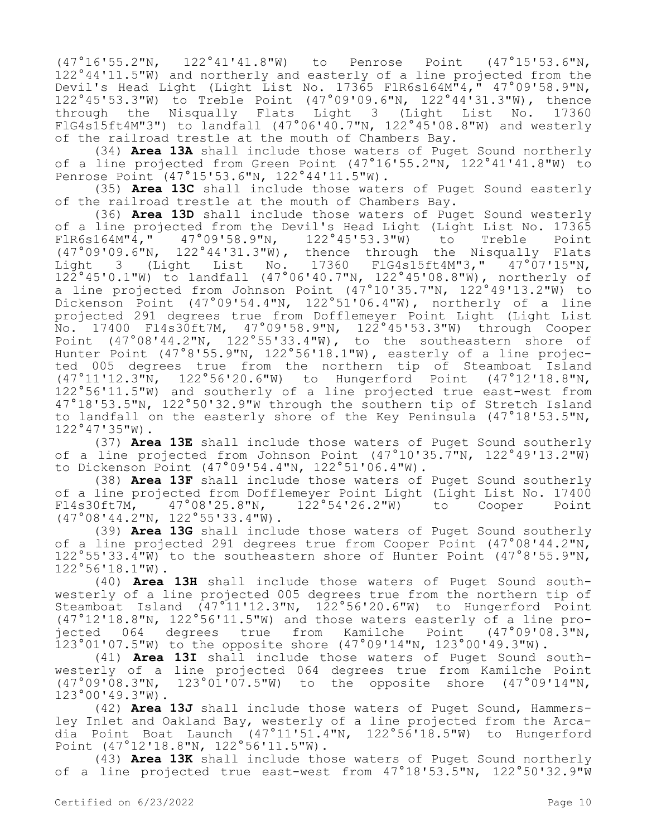(47°16'55.2"N, 122°41'41.8"W) to Penrose Point (47°15'53.6"N, 122°44'11.5"W) and northerly and easterly of a line projected from the Devil's Head Light (Light List No. 17365 FlR6s164M"4," 47°09'58.9"N, 122°45'53.3"W) to Treble Point (47°09'09.6"N, 122°44'31.3"W), thence through the Nisqually Flats Light 3 (Light List No. 17360 FlG4s15ft4M"3") to landfall  $(47°06'40.7"N, 122°45'08.8"W)$  and westerly of the railroad trestle at the mouth of Chambers Bay.

(34) **Area 13A** shall include those waters of Puget Sound northerly of a line projected from Green Point (47°16'55.2"N, 122°41'41.8"W) to Penrose Point (47°15'53.6"N, 122°44'11.5"W).

(35) **Area 13C** shall include those waters of Puget Sound easterly of the railroad trestle at the mouth of Chambers Bay.

(36) **Area 13D** shall include those waters of Puget Sound westerly of a line projected from the Devil's Head Light (Light List No. 17365<br>FlR6s164M"4," 47°09'58.9"N, 122°45'53.3"W) to Treble Point FlR6s164M"4," 47°09'58.9"N, 122°45'53.3"W) to Treble Point (47°09'09.6"N, 122°44'31.3"W), thence through the Nisqually Flats Light 3 (Light List No. 17360 FlG4s15ft4M"3," 47°07'15"N, 122°45'0.1"W) to landfall (47°06'40.7"N, 122°45'08.8"W), northerly of a line projected from Johnson Point (47°10'35.7"N, 122°49'13.2"W) to Dickenson Point (47°09'54.4"N, 122°51'06.4"W), northerly of a line projected 291 degrees true from Dofflemeyer Point Light (Light List No. 17400 Fl4s30ft7M, 47°09'58.9"N, 122°45'53.3"W) through Cooper Point (47°08'44.2"N, 122°55'33.4"W), to the southeastern shore of Hunter Point (47°8'55.9"N, 122°56'18.1"W), easterly of a line projected 005 degrees true from the northern tip of Steamboat Island (47°11'12.3"N, 122°56'20.6"W) to Hungerford Point (47°12'18.8"N, 122°56'11.5"W) and southerly of a line projected true east-west from 47°18'53.5"N, 122°50'32.9"W through the southern tip of Stretch Island to landfall on the easterly shore of the Key Peninsula (47°18'53.5"N, 122°47'35"W).

(37) **Area 13E** shall include those waters of Puget Sound southerly of a line projected from Johnson Point  $(47°10'35.7"N, 122°49'13.2"W)$ to Dickenson Point (47°09'54.4"N, 122°51'06.4"W).

(38) **Area 13F** shall include those waters of Puget Sound southerly of a line projected from Dofflemeyer Point Light (Light List No. 17400<br>Fl4s30ft7M, 47°08'25.8"N, 122°54'26.2"W) to Cooper Point  $F(47°08'25.8"N, 122°54'26.2"W)$  to Cooper Point (47°08'44.2"N, 122°55'33.4"W).

(39) **Area 13G** shall include those waters of Puget Sound southerly of a line projected 291 degrees true from Cooper Point (47°08'44.2"N, 122°55'33.4"W) to the southeastern shore of Hunter Point (47°8'55.9"N, 122°56'18.1"W).

(40) **Area 13H** shall include those waters of Puget Sound southwesterly of a line projected 005 degrees true from the northern tip of Steamboat Island (47°11'12.3"N, 122°56'20.6"W) to Hungerford Point (47°12'18.8"N, 122°56'11.5"W) and those waters easterly of a line projected 064 degrees true from Kamilche Point (47°09'08.3"N, 123°01'07.5"W) to the opposite shore (47°09'14"N, 123°00'49.3"W).

(41) **Area 13I** shall include those waters of Puget Sound southwesterly of a line projected 064 degrees true from Kamilche Point (47°09'08.3"N, 123°01'07.5"W) to the opposite shore (47°09'14"N, 123°00'49.3"W).

(42) **Area 13J** shall include those waters of Puget Sound, Hammersley Inlet and Oakland Bay, westerly of a line projected from the Arcadia Point Boat Launch (47°11'51.4"N, 122°56'18.5"W) to Hungerford Point (47°12'18.8"N, 122°56'11.5"W).

(43) **Area 13K** shall include those waters of Puget Sound northerly of a line projected true east-west from 47°18'53.5"N, 122°50'32.9"W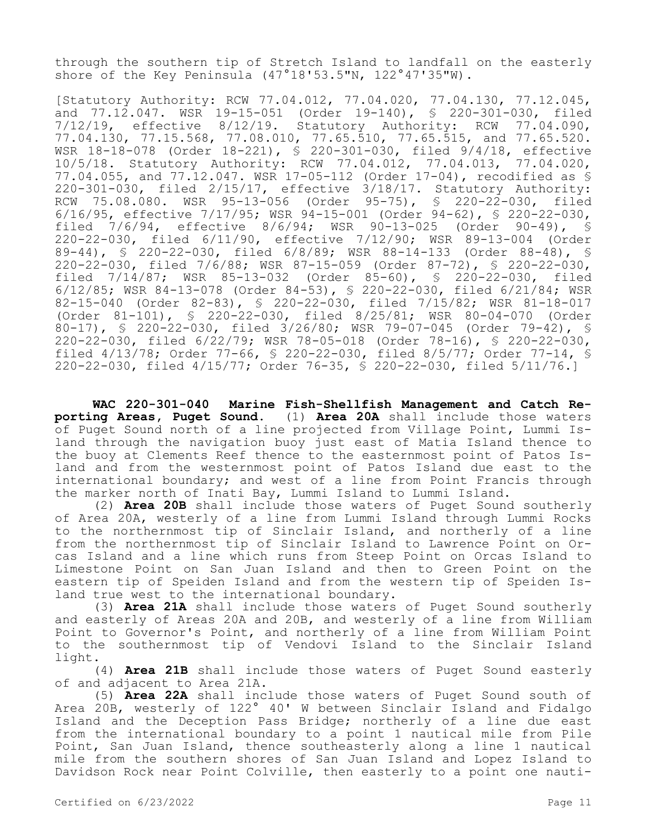through the southern tip of Stretch Island to landfall on the easterly shore of the Key Peninsula  $(47°18'53.5"N, 122°47'35"W)$ .

[Statutory Authority: RCW 77.04.012, 77.04.020, 77.04.130, 77.12.045, and 77.12.047. WSR 19-15-051 (Order 19-140), § 220-301-030, filed 7/12/19, effective 8/12/19. Statutory Authority: RCW 77.04.090, 77.04.130, 77.15.568, 77.08.010, 77.65.510, 77.65.515, and 77.65.520. WSR 18-18-078 (Order 18-221), § 220-301-030, filed 9/4/18, effective 10/5/18. Statutory Authority: RCW 77.04.012, 77.04.013, 77.04.020, 77.04.055, and 77.12.047. WSR 17-05-112 (Order 17-04), recodified as § 220-301-030, filed 2/15/17, effective 3/18/17. Statutory Authority: RCW 75.08.080. WSR 95-13-056 (Order 95-75), § 220-22-030, filed 6/16/95, effective 7/17/95; WSR 94-15-001 (Order 94-62), § 220-22-030,<br>filed 7/6/94, effective 8/6/94; WSR 90-13-025 (Order 90-49), § filed 7/6/94, effective 8/6/94; WSR 90-13-025 (Order 90-49), § 220-22-030, filed 6/11/90, effective 7/12/90; WSR 89-13-004 (Order 89-44), § 220-22-030, filed 6/8/89; WSR 88-14-133 (Order 88-48), § 220-22-030, filed 7/6/88; WSR 87-15-059 (Order 87-72), § 220-22-030, filed  $7/14/87$ ; WSR  $85-13-032$  (Order  $85-60$ ), 6/12/85; WSR 84-13-078 (Order 84-53), § 220-22-030, filed 6/21/84; WSR 82-15-040 (Order 82-83), § 220-22-030, filed 7/15/82; WSR 81-18-017 (Order 81-101), § 220-22-030, filed 8/25/81; WSR 80-04-070 (Order 80-17), § 220-22-030, filed 3/26/80; WSR 79-07-045 (Order 79-42), § 220-22-030, filed 6/22/79; WSR 78-05-018 (Order 78-16), § 220-22-030, filed 4/13/78; Order 77-66, § 220-22-030, filed 8/5/77; Order 77-14, § 220-22-030, filed 4/15/77; Order 76-35, § 220-22-030, filed 5/11/76.]

**WAC 220-301-040 Marine Fish-Shellfish Management and Catch Reporting Areas, Puget Sound.** (1) **Area 20A** shall include those waters of Puget Sound north of a line projected from Village Point, Lummi Island through the navigation buoy just east of Matia Island thence to the buoy at Clements Reef thence to the easternmost point of Patos Island and from the westernmost point of Patos Island due east to the international boundary; and west of a line from Point Francis through the marker north of Inati Bay, Lummi Island to Lummi Island.

(2) **Area 20B** shall include those waters of Puget Sound southerly of Area 20A, westerly of a line from Lummi Island through Lummi Rocks to the northernmost tip of Sinclair Island, and northerly of a line from the northernmost tip of Sinclair Island to Lawrence Point on Orcas Island and a line which runs from Steep Point on Orcas Island to Limestone Point on San Juan Island and then to Green Point on the eastern tip of Speiden Island and from the western tip of Speiden Island true west to the international boundary.

(3) **Area 21A** shall include those waters of Puget Sound southerly and easterly of Areas 20A and 20B, and westerly of a line from William Point to Governor's Point, and northerly of a line from William Point to the southernmost tip of Vendovi Island to the Sinclair Island light.

(4) **Area 21B** shall include those waters of Puget Sound easterly of and adjacent to Area 21A.

(5) **Area 22A** shall include those waters of Puget Sound south of Area 20B, westerly of 122° 40' W between Sinclair Island and Fidalgo Island and the Deception Pass Bridge; northerly of a line due east from the international boundary to a point 1 nautical mile from Pile Point, San Juan Island, thence southeasterly along a line 1 nautical mile from the southern shores of San Juan Island and Lopez Island to Davidson Rock near Point Colville, then easterly to a point one nauti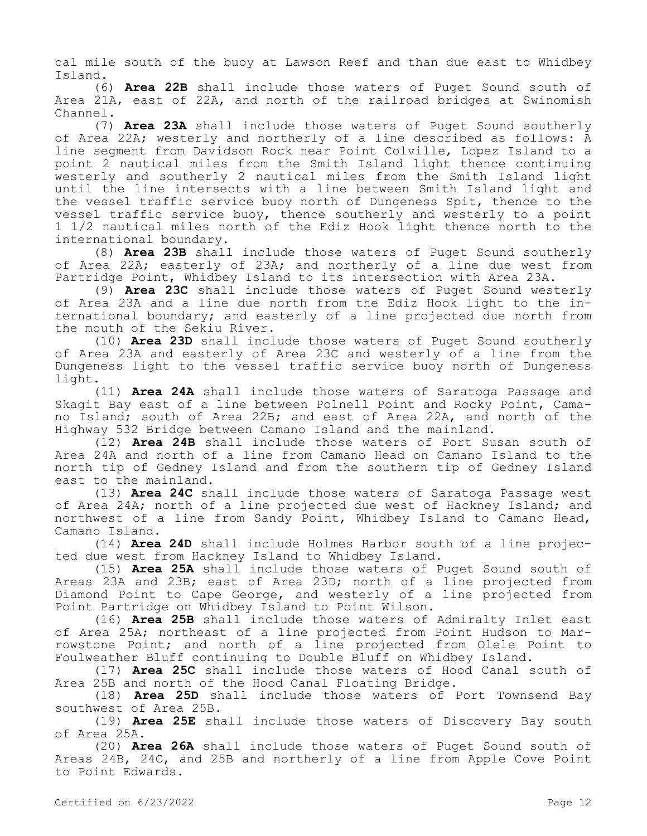cal mile south of the buoy at Lawson Reef and than due east to Whidbey Island.

(6) **Area 22B** shall include those waters of Puget Sound south of Area 21A, east of 22A, and north of the railroad bridges at Swinomish Channel.

(7) **Area 23A** shall include those waters of Puget Sound southerly of Area 22A; westerly and northerly of a line described as follows: A line segment from Davidson Rock near Point Colville, Lopez Island to a point 2 nautical miles from the Smith Island light thence continuing westerly and southerly 2 nautical miles from the Smith Island light until the line intersects with a line between Smith Island light and the vessel traffic service buoy north of Dungeness Spit, thence to the vessel traffic service buoy, thence southerly and westerly to a point 1 1/2 nautical miles north of the Ediz Hook light thence north to the international boundary.

(8) **Area 23B** shall include those waters of Puget Sound southerly of Area 22A; easterly of 23A; and northerly of a line due west from Partridge Point, Whidbey Island to its intersection with Area 23A.

(9) **Area 23C** shall include those waters of Puget Sound westerly of Area 23A and a line due north from the Ediz Hook light to the international boundary; and easterly of a line projected due north from the mouth of the Sekiu River.

(10) **Area 23D** shall include those waters of Puget Sound southerly of Area 23A and easterly of Area 23C and westerly of a line from the Dungeness light to the vessel traffic service buoy north of Dungeness light.

(11) **Area 24A** shall include those waters of Saratoga Passage and Skagit Bay east of a line between Polnell Point and Rocky Point, Camano Island; south of Area 22B; and east of Area 22A, and north of the Highway 532 Bridge between Camano Island and the mainland.

(12) **Area 24B** shall include those waters of Port Susan south of Area 24A and north of a line from Camano Head on Camano Island to the north tip of Gedney Island and from the southern tip of Gedney Island east to the mainland.

(13) **Area 24C** shall include those waters of Saratoga Passage west of Area 24A; north of a line projected due west of Hackney Island; and northwest of a line from Sandy Point, Whidbey Island to Camano Head, Camano Island.

(14) **Area 24D** shall include Holmes Harbor south of a line projected due west from Hackney Island to Whidbey Island.

(15) **Area 25A** shall include those waters of Puget Sound south of Areas 23A and 23B; east of Area 23D; north of a line projected from Diamond Point to Cape George, and westerly of a line projected from Point Partridge on Whidbey Island to Point Wilson.

(16) **Area 25B** shall include those waters of Admiralty Inlet east of Area 25A; northeast of a line projected from Point Hudson to Marrowstone Point; and north of a line projected from Olele Point to Foulweather Bluff continuing to Double Bluff on Whidbey Island.

(17) **Area 25C** shall include those waters of Hood Canal south of Area 25B and north of the Hood Canal Floating Bridge.

(18) **Area 25D** shall include those waters of Port Townsend Bay southwest of Area 25B.

(19) **Area 25E** shall include those waters of Discovery Bay south of Area 25A.

(20) **Area 26A** shall include those waters of Puget Sound south of Areas 24B, 24C, and 25B and northerly of a line from Apple Cove Point to Point Edwards.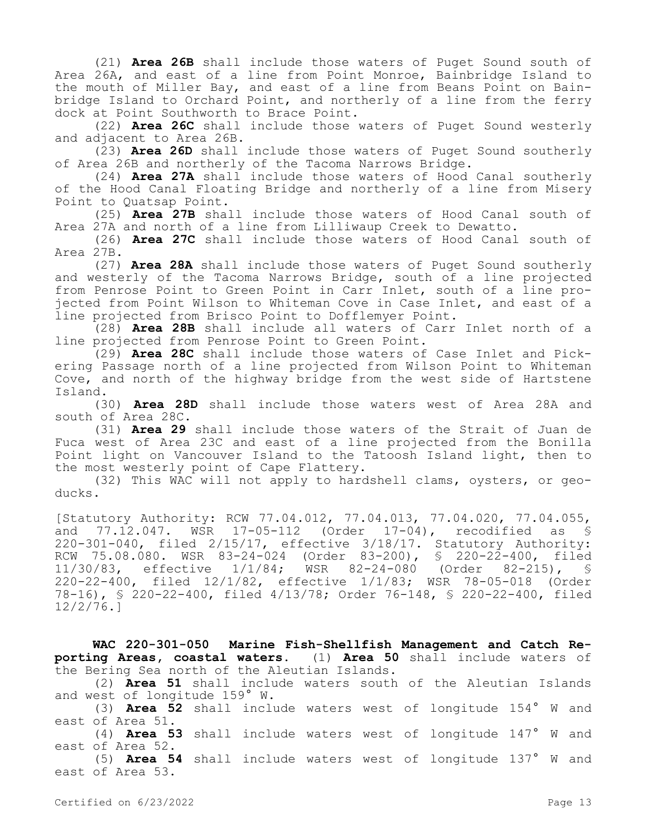(21) **Area 26B** shall include those waters of Puget Sound south of Area 26A, and east of a line from Point Monroe, Bainbridge Island to the mouth of Miller Bay, and east of a line from Beans Point on Bainbridge Island to Orchard Point, and northerly of a line from the ferry dock at Point Southworth to Brace Point.

(22) **Area 26C** shall include those waters of Puget Sound westerly and adjacent to Area 26B.

(23) **Area 26D** shall include those waters of Puget Sound southerly of Area 26B and northerly of the Tacoma Narrows Bridge.

(24) **Area 27A** shall include those waters of Hood Canal southerly of the Hood Canal Floating Bridge and northerly of a line from Misery Point to Quatsap Point.

(25) **Area 27B** shall include those waters of Hood Canal south of Area 27A and north of a line from Lilliwaup Creek to Dewatto.

(26) **Area 27C** shall include those waters of Hood Canal south of Area 27B.

(27) **Area 28A** shall include those waters of Puget Sound southerly and westerly of the Tacoma Narrows Bridge, south of a line projected from Penrose Point to Green Point in Carr Inlet, south of a line projected from Point Wilson to Whiteman Cove in Case Inlet, and east of a line projected from Brisco Point to Dofflemyer Point.

(28) **Area 28B** shall include all waters of Carr Inlet north of a line projected from Penrose Point to Green Point.

(29) **Area 28C** shall include those waters of Case Inlet and Pickering Passage north of a line projected from Wilson Point to Whiteman Cove, and north of the highway bridge from the west side of Hartstene Island.

(30) **Area 28D** shall include those waters west of Area 28A and south of Area 28C.

(31) **Area 29** shall include those waters of the Strait of Juan de Fuca west of Area 23C and east of a line projected from the Bonilla Point light on Vancouver Island to the Tatoosh Island light, then to the most westerly point of Cape Flattery.

(32) This WAC will not apply to hardshell clams, oysters, or geoducks.

[Statutory Authority: RCW 77.04.012, 77.04.013, 77.04.020, 77.04.055, and 77.12.047. WSR 17-05-112 (Order 17-04), recodified as § 220-301-040, filed 2/15/17, effective 3/18/17. Statutory Authority: RCW 75.08.080. WSR 83-24-024 (Order 83-200), § 220-22-400, filed 11/320-24-080 (Order 82-215), § 220-22-400, filed 12/1/82, effective 1/1/83; WSR 78-05-018 (Order 78-16), § 220-22-400, filed 4/13/78; Order 76-148, § 220-22-400, filed 12/2/76.]

**WAC 220-301-050 Marine Fish-Shellfish Management and Catch Reporting Areas, coastal waters.** (1) **Area 50** shall include waters of the Bering Sea north of the Aleutian Islands.

(2) **Area 51** shall include waters south of the Aleutian Islands and west of longitude 159° W.

(3) **Area 52** shall include waters west of longitude 154° W and east of Area 51.

(4) **Area 53** shall include waters west of longitude 147° W and east of Area 52.

(5) **Area 54** shall include waters west of longitude 137° W and east of Area 53.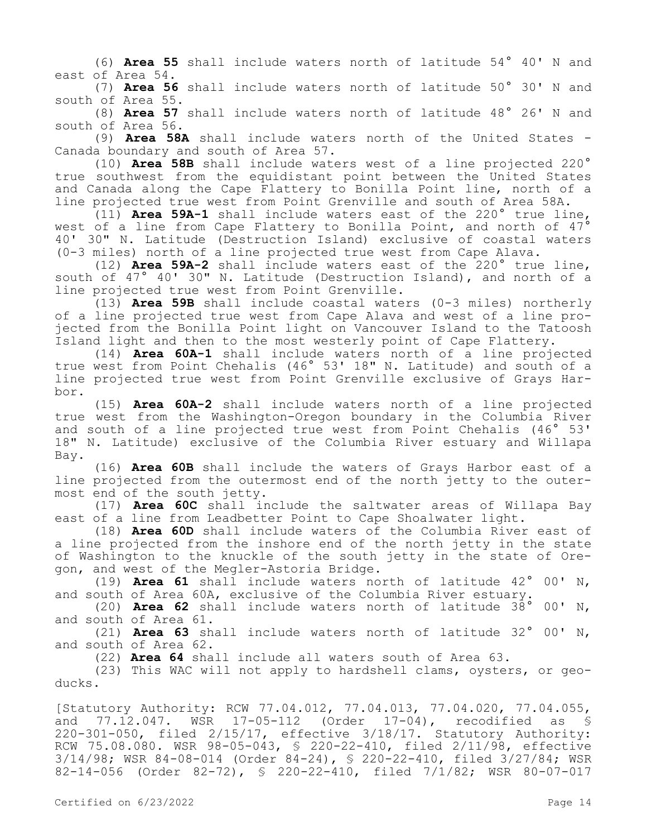(6) **Area 55** shall include waters north of latitude 54° 40' N and east of Area 54.

(7) **Area 56** shall include waters north of latitude 50° 30' N and south of Area 55.

(8) **Area 57** shall include waters north of latitude 48° 26' N and south of Area 56.

(9) **Area 58A** shall include waters north of the United States - Canada boundary and south of Area 57.

(10) **Area 58B** shall include waters west of a line projected 220° true southwest from the equidistant point between the United States and Canada along the Cape Flattery to Bonilla Point line, north of a line projected true west from Point Grenville and south of Area 58A.

(11) **Area 59A-1** shall include waters east of the 220° true line, west of a line from Cape Flattery to Bonilla Point, and north of  $47^{\circ}$ 40' 30" N. Latitude (Destruction Island) exclusive of coastal waters (0-3 miles) north of a line projected true west from Cape Alava.

(12) **Area 59A-2** shall include waters east of the 220° true line, south of 47° 40' 30" N. Latitude (Destruction Island), and north of a line projected true west from Point Grenville.

(13) **Area 59B** shall include coastal waters (0-3 miles) northerly of a line projected true west from Cape Alava and west of a line projected from the Bonilla Point light on Vancouver Island to the Tatoosh Island light and then to the most westerly point of Cape Flattery.

(14) **Area 60A-1** shall include waters north of a line projected true west from Point Chehalis (46° 53' 18" N. Latitude) and south of a line projected true west from Point Grenville exclusive of Grays Harbor.

(15) **Area 60A-2** shall include waters north of a line projected true west from the Washington-Oregon boundary in the Columbia River and south of a line projected true west from Point Chehalis (46° 53' 18" N. Latitude) exclusive of the Columbia River estuary and Willapa Bay.

(16) **Area 60B** shall include the waters of Grays Harbor east of a line projected from the outermost end of the north jetty to the outermost end of the south jetty.

(17) **Area 60C** shall include the saltwater areas of Willapa Bay east of a line from Leadbetter Point to Cape Shoalwater light.

(18) **Area 60D** shall include waters of the Columbia River east of a line projected from the inshore end of the north jetty in the state of Washington to the knuckle of the south jetty in the state of Oregon, and west of the Megler-Astoria Bridge.

(19) **Area 61** shall include waters north of latitude 42° 00' N, and south of Area 60A, exclusive of the Columbia River estuary.

(20) **Area 62** shall include waters north of latitude 38° 00' N, and south of Area 61.

(21) **Area 63** shall include waters north of latitude 32° 00' N, and south of Area 62.

(22) **Area 64** shall include all waters south of Area 63.

(23) This WAC will not apply to hardshell clams, oysters, or geoducks.

[Statutory Authority: RCW 77.04.012, 77.04.013, 77.04.020, 77.04.055, and 77.12.047. WSR 17-05-112 (Order 17-04), recodified as § 220-301-050, filed 2/15/17, effective 3/18/17. Statutory Authority: RCW 75.08.080. WSR 98-05-043, § 220-22-410, filed 2/11/98, effective 3/14/98; WSR 84-08-014 (Order 84-24), § 220-22-410, filed 3/27/84; WSR 82-14-056 (Order 82-72), § 220-22-410, filed 7/1/82; WSR 80-07-017